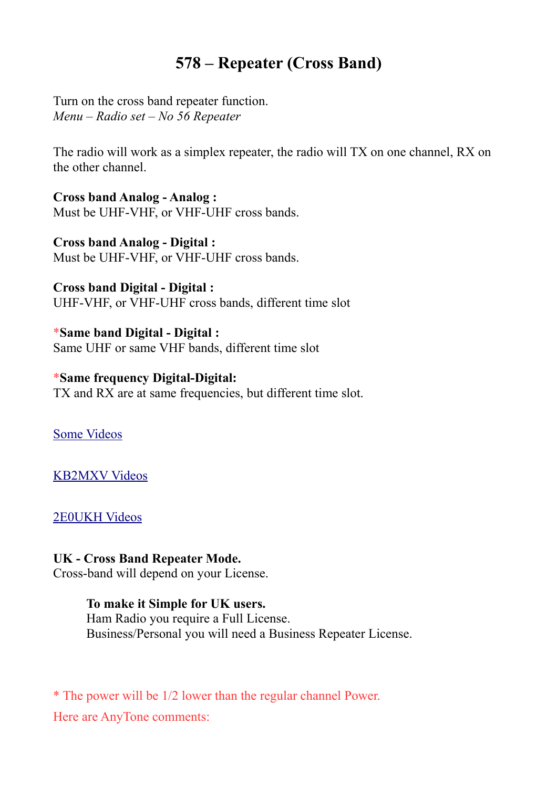## **578 – Repeater (Cross Band)**

Turn on the cross band repeater function. *Menu – Radio set – No 56 Repeater*

The radio will work as a simplex repeater, the radio will TX on one channel, RX on the other channel.

**Cross band Analog - Analog :** Must be UHF-VHF, or VHF-UHF cross bands.

**Cross band Analog - Digital :** Must be UHF-VHF, or VHF-UHF cross bands.

**Cross band Digital - Digital :** UHF-VHF, or VHF-UHF cross bands, different time slot

\***Same band Digital - Digital :** Same UHF or same VHF bands, different time slot

\***Same frequency Digital-Digital:** TX and RX are at same frequencies, but different time slot.

[Some Videos](https://www.google.com/search?client=firefox-b-d&q=578+repeater+mode)

[KB2MXV Videos](https://www.youtube.com/user/fdnyfish/videos)

[2E0UKH Videos](https://www.youtube.com/user/ukgadget2/videos)

## **UK - Cross Band Repeater Mode.**

Cross-band will depend on your License.

## **To make it Simple for UK users.**

Ham Radio you require a Full License. Business/Personal you will need a Business Repeater License.

\* The power will be 1/2 lower than the regular channel Power. Here are AnyTone comments: